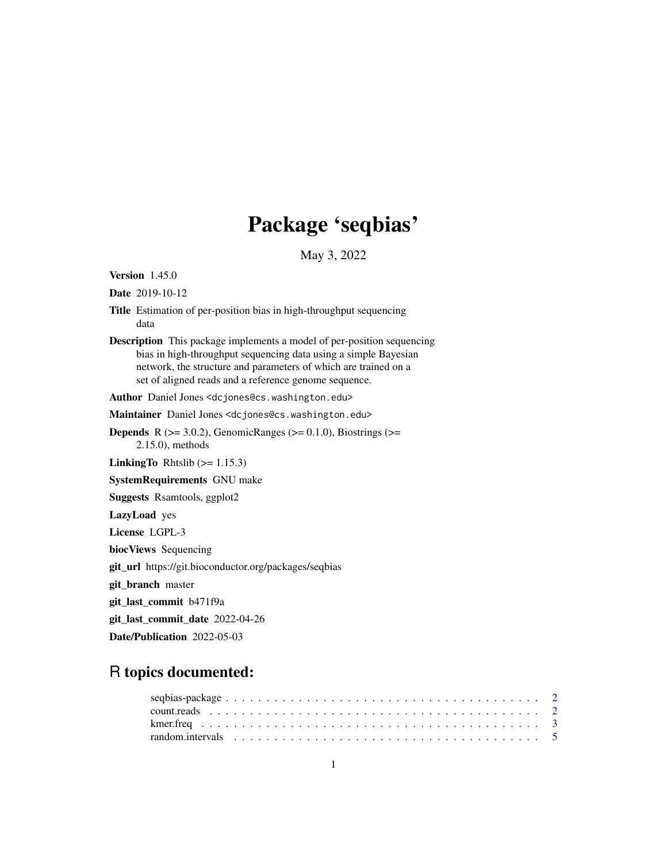# Package 'seqbias'

May 3, 2022

Version 1.45.0

Date 2019-10-12

- Title Estimation of per-position bias in high-throughput sequencing data
- Description This package implements a model of per-position sequencing bias in high-throughput sequencing data using a simple Bayesian network, the structure and parameters of which are trained on a set of aligned reads and a reference genome sequence.

Author Daniel Jones <dcjones@cs.washington.edu>

Maintainer Daniel Jones <dcjones@cs.washington.edu>

**Depends** R ( $>= 3.0.2$ ), GenomicRanges ( $>= 0.1.0$ ), Biostrings ( $>=$ 2.15.0), methods

**LinkingTo** Rhtslib  $(>= 1.15.3)$ 

SystemRequirements GNU make

Suggests Rsamtools, ggplot2

LazyLoad yes

License LGPL-3

biocViews Sequencing

git\_url https://git.bioconductor.org/packages/seqbias

git\_branch master

git\_last\_commit b471f9a

git\_last\_commit\_date 2022-04-26

Date/Publication 2022-05-03

# R topics documented: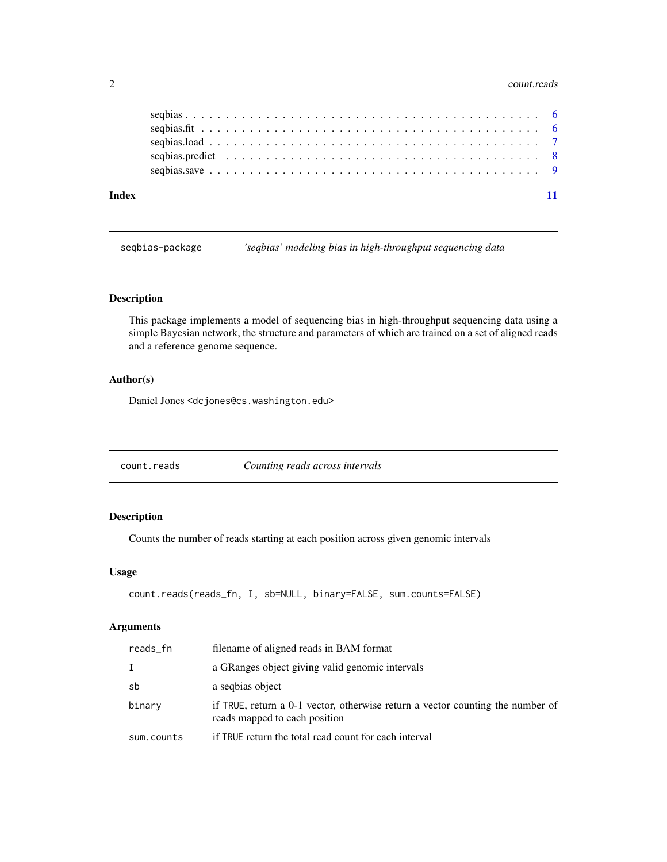#### 2 count.reads

| Index |  |  |
|-------|--|--|

seqbias-package *'seqbias' modeling bias in high-throughput sequencing data*

# Description

This package implements a model of sequencing bias in high-throughput sequencing data using a simple Bayesian network, the structure and parameters of which are trained on a set of aligned reads and a reference genome sequence.

# Author(s)

Daniel Jones <dcjones@cs.washington.edu>

<span id="page-1-1"></span>count.reads *Counting reads across intervals*

# Description

Counts the number of reads starting at each position across given genomic intervals

#### Usage

```
count.reads(reads_fn, I, sb=NULL, binary=FALSE, sum.counts=FALSE)
```
#### Arguments

| reads_fn   | filename of aligned reads in BAM format                                                                         |
|------------|-----------------------------------------------------------------------------------------------------------------|
| I          | a GRanges object giving valid genomic intervals                                                                 |
| sb         | a segbias object                                                                                                |
| binary     | if TRUE, return a 0-1 vector, otherwise return a vector counting the number of<br>reads mapped to each position |
| sum.counts | if TRUE return the total read count for each interval                                                           |

<span id="page-1-0"></span>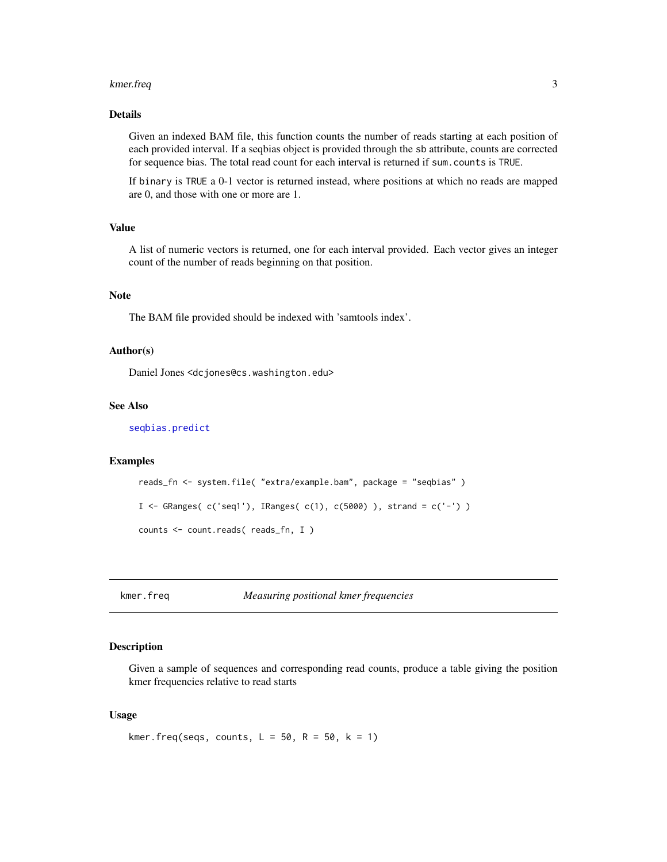#### <span id="page-2-0"></span>kmer.freq 3

### Details

Given an indexed BAM file, this function counts the number of reads starting at each position of each provided interval. If a seqbias object is provided through the sb attribute, counts are corrected for sequence bias. The total read count for each interval is returned if sum.counts is TRUE.

If binary is TRUE a 0-1 vector is returned instead, where positions at which no reads are mapped are 0, and those with one or more are 1.

# Value

A list of numeric vectors is returned, one for each interval provided. Each vector gives an integer count of the number of reads beginning on that position.

#### Note

The BAM file provided should be indexed with 'samtools index'.

#### Author(s)

Daniel Jones <dcjones@cs.washington.edu>

### See Also

[seqbias.predict](#page-7-1)

#### Examples

```
reads_fn <- system.file( "extra/example.bam", package = "seqbias" )
I <- GRanges(c('seq1'), IRanges(c(1), c(5000)), strand = c('-'))
counts <- count.reads( reads_fn, I )
```
kmer.freq *Measuring positional kmer frequencies*

# Description

Given a sample of sequences and corresponding read counts, produce a table giving the position kmer frequencies relative to read starts

#### Usage

```
kmer.freq(seqs, counts, L = 50, R = 50, k = 1)
```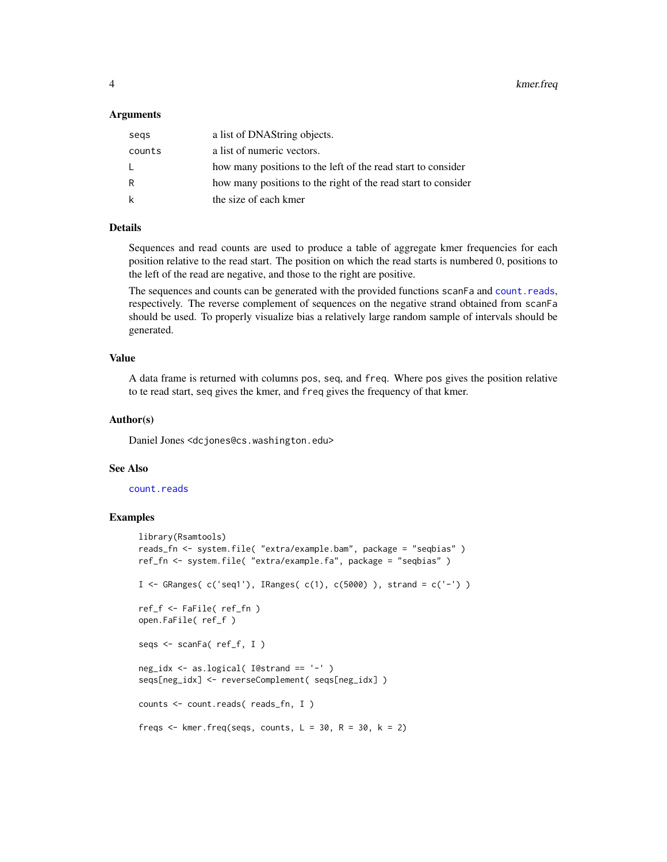<span id="page-3-0"></span>4 kmer.freq

#### **Arguments**

| segs   | a list of DNAString objects.                                  |
|--------|---------------------------------------------------------------|
| counts | a list of numeric vectors.                                    |
| L.     | how many positions to the left of the read start to consider  |
| R      | how many positions to the right of the read start to consider |
| k      | the size of each kmer                                         |

# Details

Sequences and read counts are used to produce a table of aggregate kmer frequencies for each position relative to the read start. The position on which the read starts is numbered 0, positions to the left of the read are negative, and those to the right are positive.

The sequences and counts can be generated with the provided functions scanFa and [count.reads](#page-1-1), respectively. The reverse complement of sequences on the negative strand obtained from scanFa should be used. To properly visualize bias a relatively large random sample of intervals should be generated.

# Value

A data frame is returned with columns pos, seq, and freq. Where pos gives the position relative to te read start, seq gives the kmer, and freq gives the frequency of that kmer.

#### Author(s)

Daniel Jones <dcjones@cs.washington.edu>

#### See Also

#### [count.reads](#page-1-1)

#### Examples

```
library(Rsamtools)
reads_fn <- system.file( "extra/example.bam", package = "seqbias" )
ref_fn <- system.file( "extra/example.fa", package = "seqbias" )
I <- GRanges(c('seq1'), IRanges(c(1), c(5000)), strand = c('-'))
ref_f <- FaFile( ref_fn )
open.FaFile( ref_f )
seqs <- scanFa( ref_f, I )
neg_idx <- as.logical( I@strand == '-' )
seqs[neg_idx] <- reverseComplement( seqs[neg_idx] )
counts <- count.reads( reads_fn, I )
freqs \leq kmer. freq(seqs, counts, L = 30, R = 30, k = 2)
```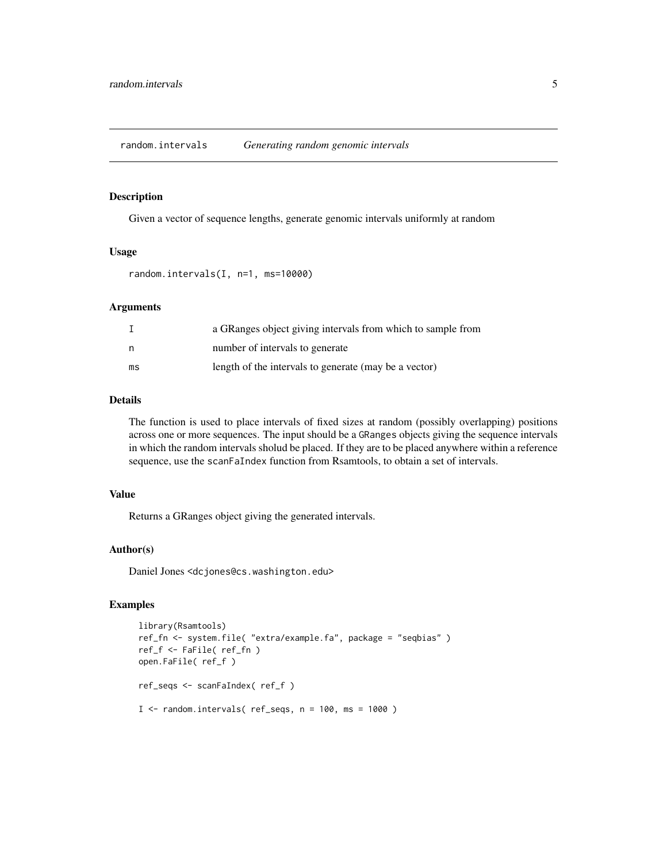<span id="page-4-0"></span>random.intervals *Generating random genomic intervals*

# Description

Given a vector of sequence lengths, generate genomic intervals uniformly at random

#### Usage

random.intervals(I, n=1, ms=10000)

#### Arguments

|    | a GRanges object giving intervals from which to sample from |
|----|-------------------------------------------------------------|
| n  | number of intervals to generate                             |
| ms | length of the intervals to generate (may be a vector)       |

#### Details

The function is used to place intervals of fixed sizes at random (possibly overlapping) positions across one or more sequences. The input should be a GRanges objects giving the sequence intervals in which the random intervals sholud be placed. If they are to be placed anywhere within a reference sequence, use the scanFaIndex function from Rsamtools, to obtain a set of intervals.

#### Value

Returns a GRanges object giving the generated intervals.

#### Author(s)

Daniel Jones <dcjones@cs.washington.edu>

# Examples

```
library(Rsamtools)
ref_fn <- system.file( "extra/example.fa", package = "seqbias" )
ref_f <- FaFile( ref_fn )
open.FaFile( ref_f )
ref_seqs <- scanFaIndex( ref_f )
I < - random.intervals( ref_seqs, n = 100, ms = 1000 )
```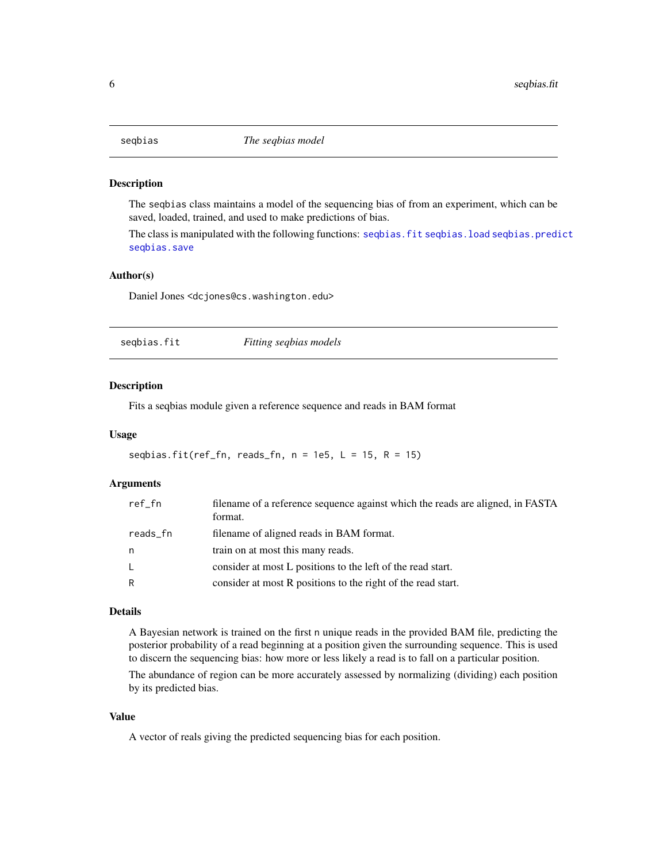<span id="page-5-0"></span>

#### Description

The seqbias class maintains a model of the sequencing bias of from an experiment, which can be saved, loaded, trained, and used to make predictions of bias.

The class is manipulated with the following functions: [seqbias.fit](#page-5-1) [seqbias.load](#page-6-1) [seqbias.predict](#page-7-1) [seqbias.save](#page-8-1)

# Author(s)

Daniel Jones <dcjones@cs.washington.edu>

<span id="page-5-1"></span>

| segbias.fit | Fitting seqbias models |  |
|-------------|------------------------|--|
|-------------|------------------------|--|

#### Description

Fits a seqbias module given a reference sequence and reads in BAM format

#### Usage

```
seqbias.fit(ref_fn, reads_fn, n = 1e5, L = 15, R = 15)
```
# Arguments

| ref_fn   | filename of a reference sequence against which the reads are aligned, in FASTA<br>format. |
|----------|-------------------------------------------------------------------------------------------|
| reads_fn | filename of aligned reads in BAM format.                                                  |
| n        | train on at most this many reads.                                                         |
| L.       | consider at most L positions to the left of the read start.                               |
| R        | consider at most R positions to the right of the read start.                              |

#### Details

A Bayesian network is trained on the first n unique reads in the provided BAM file, predicting the posterior probability of a read beginning at a position given the surrounding sequence. This is used to discern the sequencing bias: how more or less likely a read is to fall on a particular position.

The abundance of region can be more accurately assessed by normalizing (dividing) each position by its predicted bias.

#### Value

A vector of reals giving the predicted sequencing bias for each position.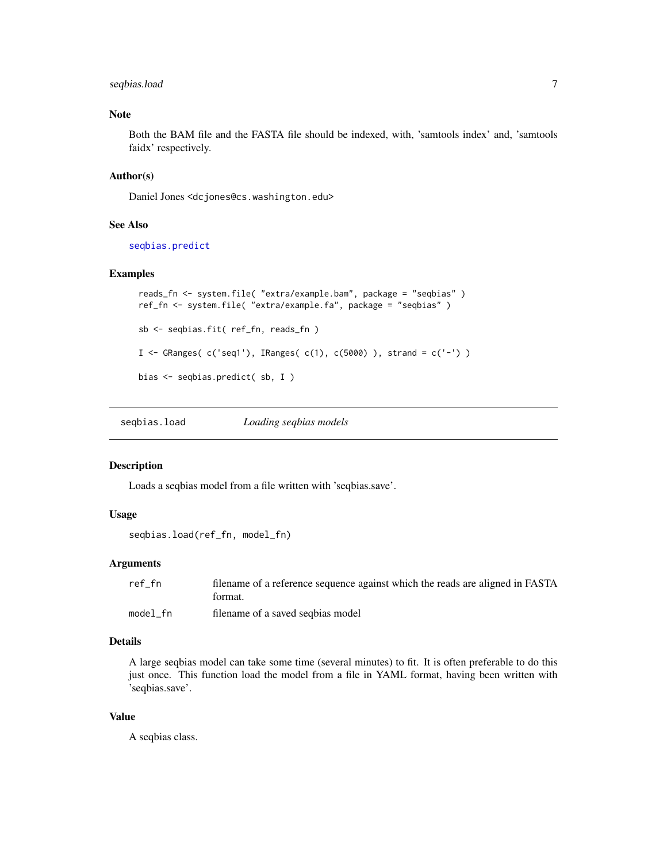# <span id="page-6-0"></span>seqbias.load 7

# Note

Both the BAM file and the FASTA file should be indexed, with, 'samtools index' and, 'samtools faidx' respectively.

#### Author(s)

Daniel Jones <dcjones@cs.washington.edu>

#### See Also

[seqbias.predict](#page-7-1)

#### Examples

```
reads_fn <- system.file( "extra/example.bam", package = "seqbias" )
ref_fn <- system.file( "extra/example.fa", package = "seqbias" )
sb <- seqbias.fit( ref_fn, reads_fn )
I <- GRanges( c('seq1'), IRanges( c(1), c(5000) ), strand = c('-') )
bias <- seqbias.predict( sb, I )
```
<span id="page-6-1"></span>seqbias.load *Loading seqbias models*

#### Description

Loads a seqbias model from a file written with 'seqbias.save'.

# Usage

```
seqbias.load(ref_fn, model_fn)
```
# **Arguments**

| ref fn   | filename of a reference sequence against which the reads are aligned in FASTA |
|----------|-------------------------------------------------------------------------------|
|          | format.                                                                       |
| model fn | filename of a saved seqbias model                                             |

# Details

A large seqbias model can take some time (several minutes) to fit. It is often preferable to do this just once. This function load the model from a file in YAML format, having been written with 'seqbias.save'.

#### Value

A seqbias class.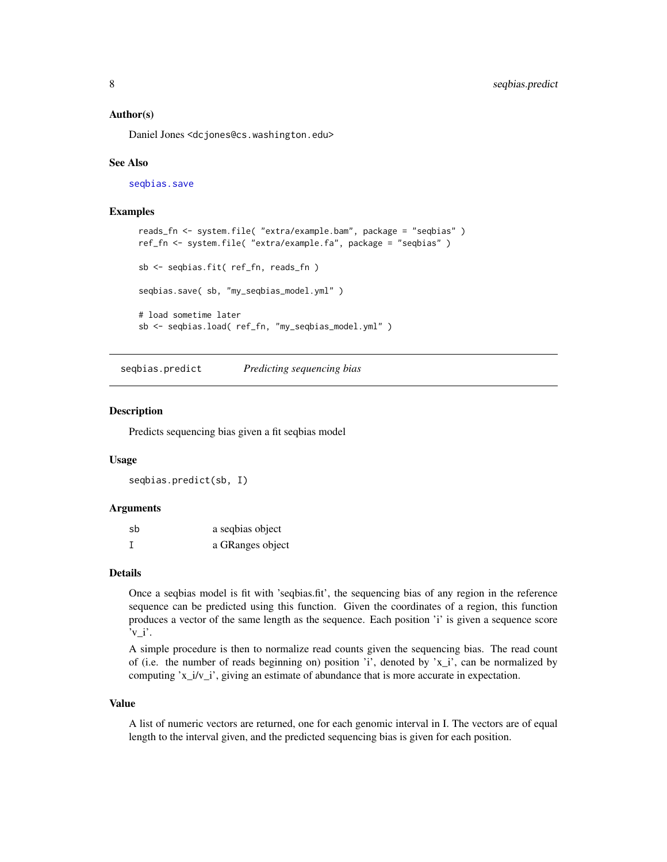#### <span id="page-7-0"></span>Author(s)

Daniel Jones <dcjones@cs.washington.edu>

#### See Also

[seqbias.save](#page-8-1)

#### Examples

```
reads_fn <- system.file( "extra/example.bam", package = "seqbias" )
ref_fn <- system.file( "extra/example.fa", package = "seqbias" )
sb <- seqbias.fit( ref_fn, reads_fn )
seqbias.save( sb, "my_seqbias_model.yml" )
# load sometime later
sb <- seqbias.load( ref_fn, "my_seqbias_model.yml" )
```
<span id="page-7-1"></span>seqbias.predict *Predicting sequencing bias*

#### **Description**

Predicts sequencing bias given a fit seqbias model

#### Usage

seqbias.predict(sb, I)

#### Arguments

| sb | a seqbias object |
|----|------------------|
|    | a GRanges object |

# Details

Once a seqbias model is fit with 'seqbias.fit', the sequencing bias of any region in the reference sequence can be predicted using this function. Given the coordinates of a region, this function produces a vector of the same length as the sequence. Each position 'i' is given a sequence score  $v_i$ .

A simple procedure is then to normalize read counts given the sequencing bias. The read count of (i.e. the number of reads beginning on) position 'i', denoted by 'x\_i', can be normalized by computing 'x\_i/v\_i', giving an estimate of abundance that is more accurate in expectation.

#### Value

A list of numeric vectors are returned, one for each genomic interval in I. The vectors are of equal length to the interval given, and the predicted sequencing bias is given for each position.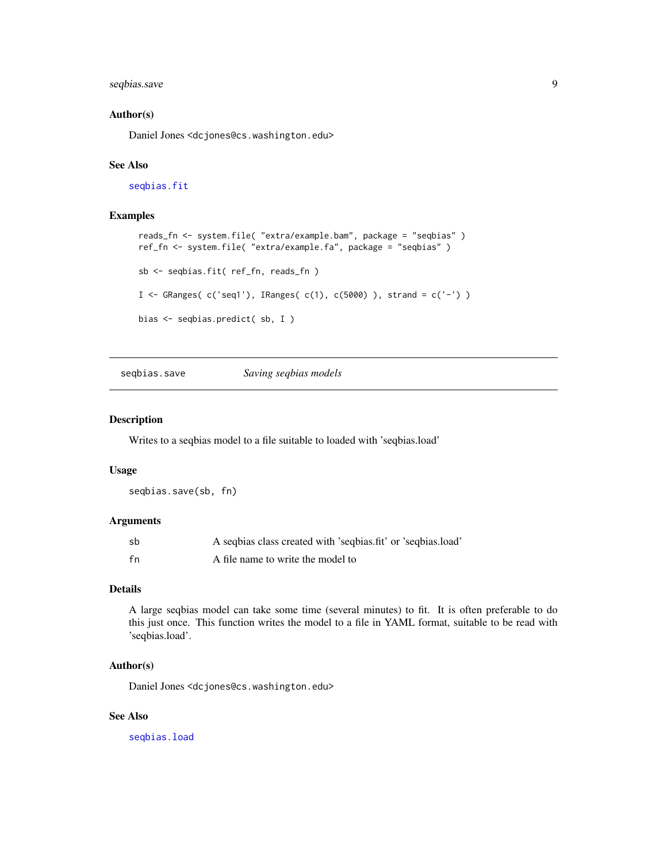# <span id="page-8-0"></span>seqbias.save 9

#### Author(s)

Daniel Jones <dcjones@cs.washington.edu>

### See Also

[seqbias.fit](#page-5-1)

# Examples

```
reads_fn <- system.file( "extra/example.bam", package = "seqbias" )
ref_fn <- system.file( "extra/example.fa", package = "seqbias" )
sb <- seqbias.fit( ref_fn, reads_fn )
I \leq GRanges( c('seq1'), IRanges( c(1), c(5000) ), strand = c('-') )
bias <- seqbias.predict( sb, I )
```
<span id="page-8-1"></span>seqbias.save *Saving seqbias models*

### Description

Writes to a seqbias model to a file suitable to loaded with 'seqbias.load'

#### Usage

```
seqbias.save(sb, fn)
```
# Arguments

| sb | A seqbias class created with 'seqbias.fit' or 'seqbias.load' |
|----|--------------------------------------------------------------|
| fn | A file name to write the model to                            |

#### Details

A large seqbias model can take some time (several minutes) to fit. It is often preferable to do this just once. This function writes the model to a file in YAML format, suitable to be read with 'seqbias.load'.

#### Author(s)

Daniel Jones <dcjones@cs.washington.edu>

# See Also

[seqbias.load](#page-6-1)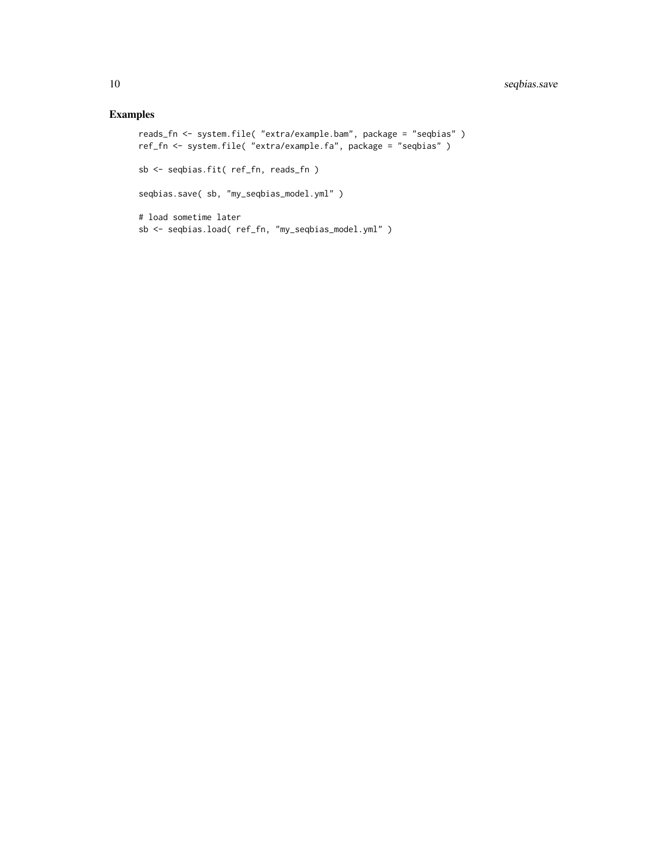# Examples

```
reads_fn <- system.file( "extra/example.bam", package = "seqbias" )
ref_fn <- system.file( "extra/example.fa", package = "seqbias" )
sb <- seqbias.fit( ref_fn, reads_fn )
seqbias.save( sb, "my_seqbias_model.yml" )
# load sometime later
sb <- seqbias.load( ref_fn, "my_seqbias_model.yml" )
```